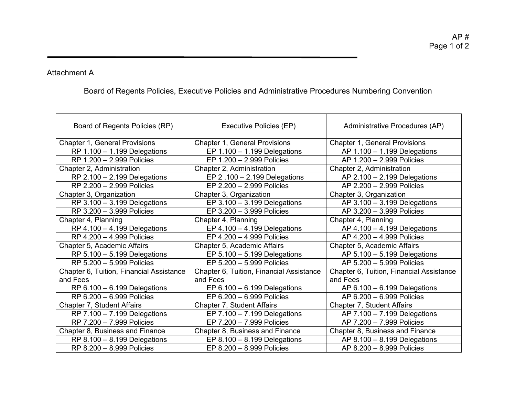## Attachment A

Board of Regents Policies, Executive Policies and Administrative Procedures Numbering Convention

| Board of Regents Policies (RP)           | Executive Policies (EP)                  | Administrative Procedures (AP)            |
|------------------------------------------|------------------------------------------|-------------------------------------------|
| Chapter 1, General Provisions            | Chapter 1, General Provisions            | Chapter 1, General Provisions             |
| $RP$ 1.100 - 1.199 Delegations           | EP $1.100 - 1.199$ Delegations           | $AP 1.100 - 1.199$ Delegations            |
| RP 1.200 - 2.999 Policies                | EP 1.200 - 2.999 Policies                | AP 1.200 - 2.999 Policies                 |
| Chapter 2, Administration                | Chapter 2, Administration                | Chapter 2, Administration                 |
| $RP$ 2.100 $-$ 2.199 Delegations         | EP 2.100 - 2.199 Delegations             | $AP$ 2.100 $-$ 2.199 Delegations          |
| RP 2.200 - 2.999 Policies                | EP 2.200 - 2.999 Policies                | AP 2.200 - 2.999 Policies                 |
| Chapter 3, Organization                  | Chapter 3, Organization                  | Chapter 3, Organization                   |
| RP 3.100 - 3.199 Delegations             | EP $3.100 - 3.199$ Delegations           | AP 3.100 - 3.199 Delegations              |
| RP 3.200 - 3.999 Policies                | EP 3.200 - 3.999 Policies                | AP 3.200 - 3.999 Policies                 |
| Chapter 4, Planning                      | Chapter 4, Planning                      | Chapter 4, Planning                       |
| $RP$ 4.100 $-$ 4.199 Delegations         | EP $4.100 - 4.199$ Delegations           | $AP$ 4.100 $-$ 4.199 Delegations          |
| RP 4.200 - 4.999 Policies                | EP 4.200 - 4.999 Policies                | AP 4.200 - 4.999 Policies                 |
| Chapter 5, Academic Affairs              | Chapter 5, Academic Affairs              | Chapter 5, Academic Affairs               |
| $RP$ 5.100 $-$ 5.199 Delegations         | EP $5.100 - 5.199$ Delegations           | AP 5.100 - 5.199 Delegations              |
| RP 5.200 - 5.999 Policies                | EP 5.200 - 5.999 Policies                | AP 5.200 - 5.999 Policies                 |
| Chapter 6, Tuition, Financial Assistance | Chapter 6, Tuition, Financial Assistance | Chapter 6, Tuition, Financial Assistance  |
| and Fees                                 | and Fees                                 | and Fees                                  |
| RP $6.100 - 6.199$ Delegations           | EP $6.100 - 6.199$ Delegations           | AP 6.100 - 6.199 Delegations              |
| RP 6.200 - 6.999 Policies                | EP 6.200 - 6.999 Policies                | AP 6.200 - 6.999 Policies                 |
| Chapter 7, Student Affairs               | Chapter 7, Student Affairs               | Chapter 7, Student Affairs                |
| RP 7.100 - 7.199 Delegations             | EP 7.100 - 7.199 Delegations             | AP 7.100 - 7.199 Delegations              |
| RP 7.200 - 7.999 Policies                | EP 7.200 - 7.999 Policies                | AP 7.200 - 7.999 Policies                 |
| Chapter 8, Business and Finance          | Chapter 8, Business and Finance          | Chapter 8, Business and Finance           |
| RP 8.100 - 8.199 Delegations             | EP $8.100 - 8.199$ Delegations           | $\overline{AP}$ 8.100 - 8.199 Delegations |
| RP 8.200 - 8.999 Policies                | EP 8.200 - 8.999 Policies                | AP 8.200 - 8.999 Policies                 |